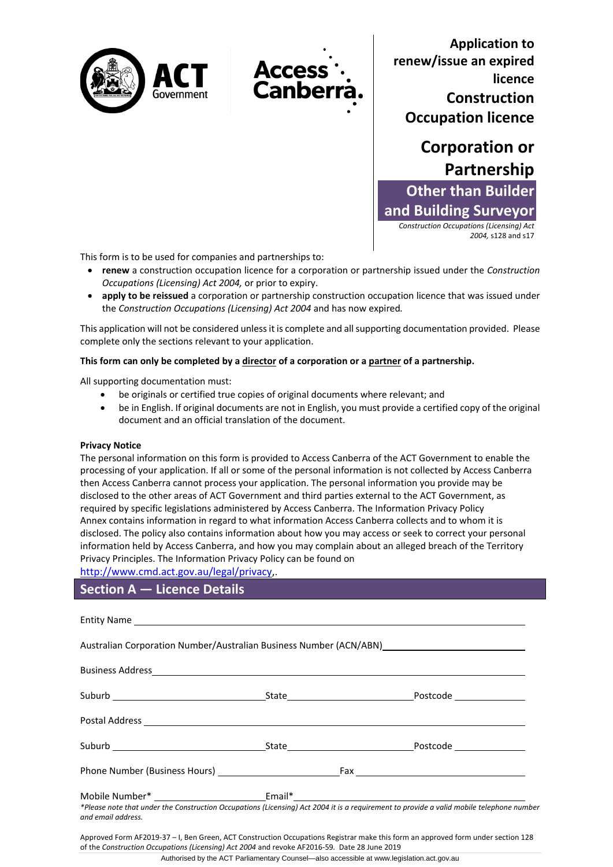



**Application to renew/issue an expired licence Construction Occupation licence** 



*2004,* s128 and s17

This form is to be used for companies and partnerships to:

- **renew** a construction occupation licence for a corporation or partnership issued under the *Construction Occupations (Licensing) Act 2004,* or prior to expiry.
- **apply to be reissued** a corporation or partnership construction occupation licence that was issued under the *Construction Occupations (Licensing) Act 2004* and has now expired*.*

This application will not be considered unless it is complete and all supporting documentation provided. Please complete only the sections relevant to your application.

#### **This form can only be completed by a director of a corporation or a partner of a partnership.**

All supporting documentation must:

- be originals or certified true copies of original documents where relevant; and
- be in English. If original documents are not in English, you must provide a certified copy of the original document and an official translation of the document.

#### **Privacy Notice**

The personal information on this form is provided to Access Canberra of the ACT Government to enable the processing of your application. If all or some of the personal information is not collected by Access Canberra then Access Canberra cannot process your application. The personal information you provide may be disclosed to the other areas of ACT Government and third parties external to the ACT Government, as required by specific legislations administered by Access Canberra. The [Information Privacy Policy](http://www.environment.act.gov.au/__data/assets/pdf_file/0006/633741/Information-Privacy-Policy-Annex.pdf)  [Annex](http://www.environment.act.gov.au/__data/assets/pdf_file/0006/633741/Information-Privacy-Policy-Annex.pdf) contains information in regard to what information Access Canberra collects and to whom it is disclosed. The policy also contains information about how you may access or seek to correct your personal information held by Access Canberra, and how you may complain about an alleged breach of the Territory Privacy Principles. The Information Privacy Policy can be found on

[http://www.cmd.act.gov.au/legal/privacy,](http://www.cmd.act.gov.au/legal/privacy).

## **Section A — Licence Details**

|                                                                                                                                      |  | Australian Corporation Number/Australian Business Number (ACN/ABN) [1988] [2003] [2004] [2004] [2004] [2004] [                           |  |  |
|--------------------------------------------------------------------------------------------------------------------------------------|--|------------------------------------------------------------------------------------------------------------------------------------------|--|--|
|                                                                                                                                      |  |                                                                                                                                          |  |  |
|                                                                                                                                      |  |                                                                                                                                          |  |  |
|                                                                                                                                      |  |                                                                                                                                          |  |  |
|                                                                                                                                      |  |                                                                                                                                          |  |  |
|                                                                                                                                      |  |                                                                                                                                          |  |  |
|                                                                                                                                      |  | *Please note that under the Construction Occupations (Licensing) Act 2004 it is a requirement to provide a valid mobile telephone number |  |  |
| and email address.<br>이 사이트 STATE STATE STATE STATE STATE STATE STATE STATE STATE STATE STATE STATE STATE STATE STATE STATE STATE ST |  |                                                                                                                                          |  |  |

Approved Form AF2019-37 – I, Ben Green, ACT Construction Occupations Registrar make this form an approved form under section 128 of the *Construction Occupations (Licensing) Act 2004* and revoke AF2016-59*.* Date 28 June 2019

Authorised by the ACT Parliamentary Counsel—also accessible at www.legislation.act.gov.au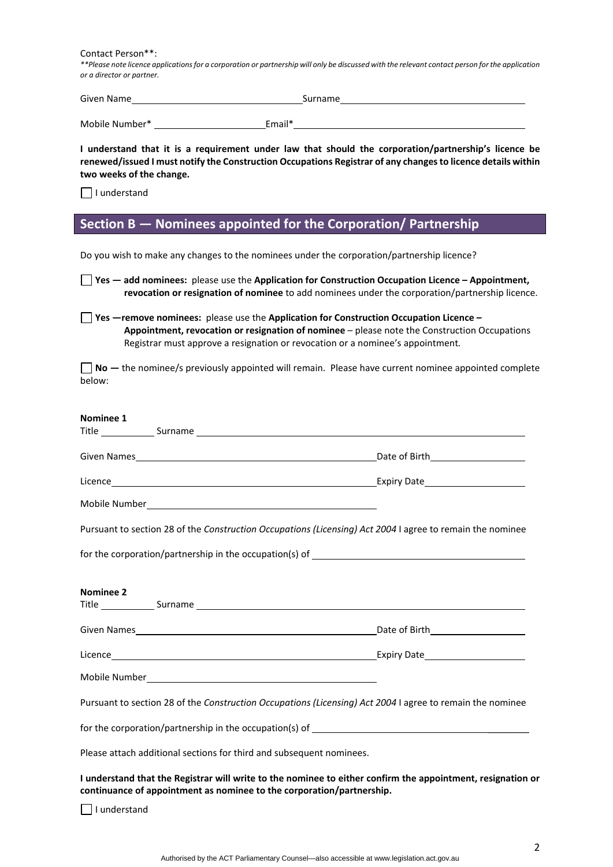Contact Person\*\*:

*\*\*Please note licence applications for a corporation or partnership will only be discussed with the relevant contact person for the application or a director or partner.*

| Given Name     | Surname |
|----------------|---------|
| Mobile Number* | Email*  |

**I understand that it is a requirement under law that should the corporation/partnership's licence be renewed/issued I must notify the Construction Occupations Registrar of any changes to licence details within two weeks of the change.** 

 $\Box$  I understand

## **Section B — Nominees appointed for the Corporation/ Partnership**

Do you wish to make any changes to the nominees under the corporation/partnership licence?

| Do you wish to make any changes to the nominees under the corporation/partnership licence?                                                                                                                                                                                               |                                                                                                 |
|------------------------------------------------------------------------------------------------------------------------------------------------------------------------------------------------------------------------------------------------------------------------------------------|-------------------------------------------------------------------------------------------------|
| $\blacksquare$ Yes $-$ add nominees: please use the Application for Construction Occupation Licence - Appointment,                                                                                                                                                                       | revocation or resignation of nominee to add nominees under the corporation/partnership licence. |
| <b>Solution</b> Yes —remove nominees: please use the Application for Construction Occupation Licence –<br>Appointment, revocation or resignation of nominee - please note the Construction Occupations<br>Registrar must approve a resignation or revocation or a nominee's appointment. |                                                                                                 |
| $\Box$ No $-$ the nominee/s previously appointed will remain. Please have current nominee appointed complete<br>below:                                                                                                                                                                   |                                                                                                 |
| Nominee 1                                                                                                                                                                                                                                                                                |                                                                                                 |
|                                                                                                                                                                                                                                                                                          |                                                                                                 |
|                                                                                                                                                                                                                                                                                          |                                                                                                 |
|                                                                                                                                                                                                                                                                                          |                                                                                                 |
| Pursuant to section 28 of the Construction Occupations (Licensing) Act 2004 I agree to remain the nominee                                                                                                                                                                                |                                                                                                 |
| for the corporation/partnership in the occupation(s) of ________________________                                                                                                                                                                                                         |                                                                                                 |
| <b>Nominee 2</b><br>Title Surname Surname Surname Surname Surname Surname Surname Surname Surname Surname Surname Surname Surname Surname Surname Surname Surname Surname Surname Surname Surname Surname Surname Surname Surname Surname Surname                                        |                                                                                                 |
|                                                                                                                                                                                                                                                                                          |                                                                                                 |
|                                                                                                                                                                                                                                                                                          |                                                                                                 |
| Mobile Number <u>New York and State and State and State and State and State and State and State and State and State and State and State and State and State and State and State and State and State and State and State and Stat</u>                                                     |                                                                                                 |
| Pursuant to section 28 of the Construction Occupations (Licensing) Act 2004 I agree to remain the nominee                                                                                                                                                                                |                                                                                                 |
| for the corporation/partnership in the occupation(s) of                                                                                                                                                                                                                                  |                                                                                                 |
| Please attach additional sections for third and subsequent nominees.                                                                                                                                                                                                                     |                                                                                                 |
| I understand that the Registrar will write to the nominee to either confirm the appointment, resignation or<br>continuance of appointment as nominee to the corporation/partnership.                                                                                                     |                                                                                                 |
| I understand                                                                                                                                                                                                                                                                             |                                                                                                 |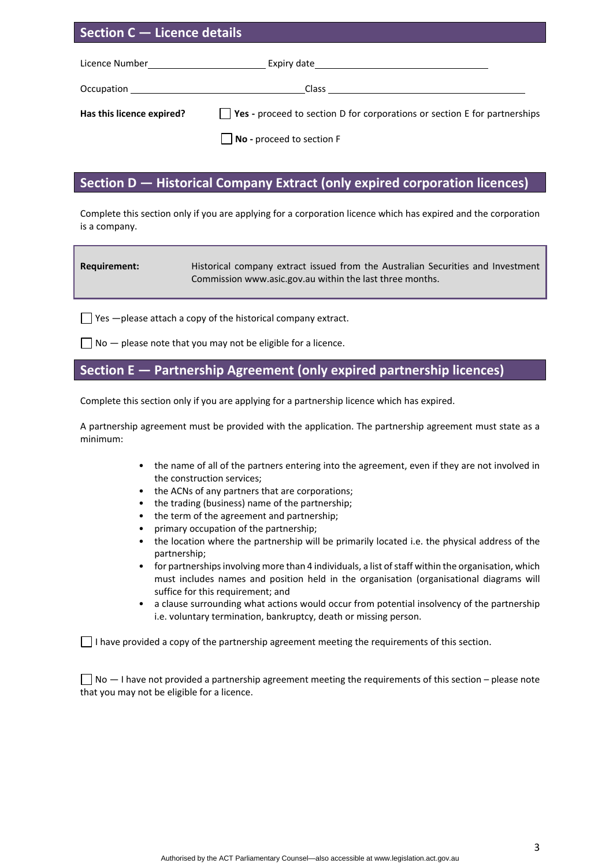| Section C – Licence details                           |                                                                                                                                                                                                                                    |  |
|-------------------------------------------------------|------------------------------------------------------------------------------------------------------------------------------------------------------------------------------------------------------------------------------------|--|
| Licence Number <b>Service Service Service Service</b> |                                                                                                                                                                                                                                    |  |
|                                                       | Occupation <b>Designation CONSUMING CONSUMING CONSUMING CONSUMING CONSUMING CONSUMING CONSUMING CONSUMING CONSUMING CONSUMING CONSUMING CONSUMING CONSUMING CONSUMING CONSUMING CONSUMING CONSUMING CONSUMING CONSUMING CONSUM</b> |  |
| Has this licence expired?                             | Yes - proceed to section D for corporations or section E for partnerships                                                                                                                                                          |  |

**No** - proceed to section F

## **Section D — Historical Company Extract (only expired corporation licences)**

Complete this section only if you are applying for a corporation licence which has expired and the corporation is a company.

| Requirement: | Historical company extract issued from the Australian Securities and Investment |  |
|--------------|---------------------------------------------------------------------------------|--|
|              | Commission www.asic.gov.au within the last three months.                        |  |

 $\Box$  Yes  $-\rho$  lease attach a copy of the historical company extract.

 $\Box$  No  $-$  please note that you may not be eligible for a licence.

## **Section E — Partnership Agreement (only expired partnership licences)**

Complete this section only if you are applying for a partnership licence which has expired.

A partnership agreement must be provided with the application. The partnership agreement must state as a minimum:

- the name of all of the partners entering into the agreement, even if they are not involved in the construction services;
- the ACNs of any partners that are corporations;
- the trading (business) name of the partnership;
- the term of the agreement and partnership;
- primary occupation of the partnership;
- the location where the partnership will be primarily located i.e. the physical address of the partnership;
- for partnerships involving more than 4 individuals, a list of staff within the organisation, which must includes names and position held in the organisation (organisational diagrams will suffice for this requirement; and
- a clause surrounding what actions would occur from potential insolvency of the partnership i.e. voluntary termination, bankruptcy, death or missing person.

 $\Box$  I have provided a copy of the partnership agreement meeting the requirements of this section.

 $\Box$  No  $-$  I have not provided a partnership agreement meeting the requirements of this section – please note that you may not be eligible for a licence.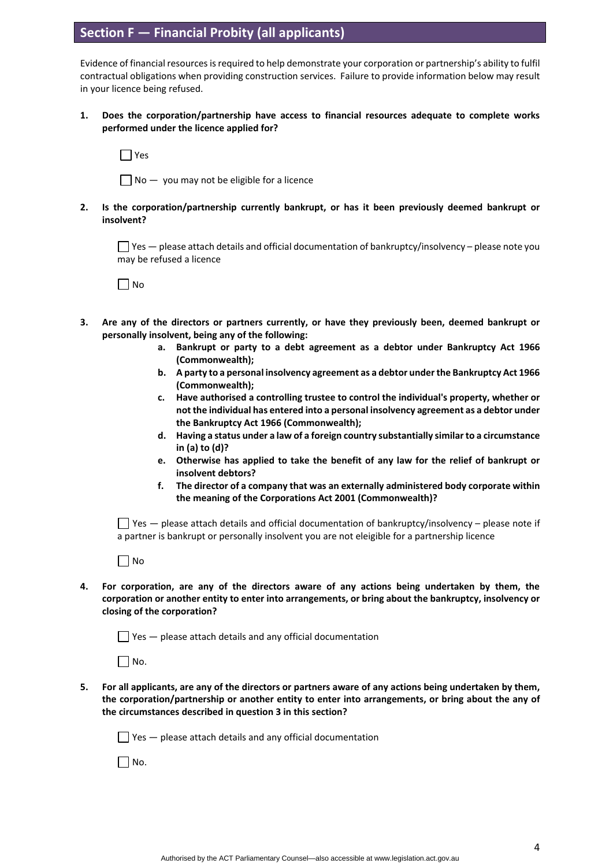## **Section F — Financial Probity (all applicants)**

Evidence of financial resources is required to help demonstrate your corporation or partnership's ability to fulfil contractual obligations when providing construction services. Failure to provide information below may result in your licence being refused.

**1. Does the corporation/partnership have access to financial resources adequate to complete works performed under the licence applied for?** 

 $\Box$  Yes

 $\Box$  No  $-$  you may not be eligible for a licence

**2. Is the corporation/partnership currently bankrupt, or has it been previously deemed bankrupt or insolvent?** 

 $\Box$  Yes  $-$  please attach details and official documentation of bankruptcy/insolvency – please note you may be refused a licence

 $\Box$  No

- **3. Are any of the directors or partners currently, or have they previously been, deemed bankrupt or personally insolvent, being any of the following:**
	- **a. Bankrupt or party to a debt agreement as a debtor under Bankruptcy Act 1966 (Commonwealth);**
	- **b. A party to a personal insolvency agreement as a debtor under the Bankruptcy Act 1966 (Commonwealth);**
	- **c. Have authorised a controlling trustee to control the individual's property, whether or not the individual has entered into a personal insolvency agreement as a debtor under the Bankruptcy Act 1966 (Commonwealth);**
	- **d. Having a status under a law of a foreign country substantially similar to a circumstance in (a) to (d)?**
	- **e. Otherwise has applied to take the benefit of any law for the relief of bankrupt or insolvent debtors?**
	- **f. The director of a company that was an externally administered body corporate within the meaning of the Corporations Act 2001 (Commonwealth)?**

 $\Box$  Yes — please attach details and official documentation of bankruptcy/insolvency – please note if a partner is bankrupt or personally insolvent you are not eleigible for a partnership licence

 $\Box$  No

**4. For corporation, are any of the directors aware of any actions being undertaken by them, the corporation or another entity to enter into arrangements, or bring about the bankruptcy, insolvency or closing of the corporation?** 

 $\Box$  Yes  $-$  please attach details and any official documentation

 $\Box$  No.

**5. For all applicants, are any of the directors or partners aware of any actions being undertaken by them, the corporation/partnership or another entity to enter into arrangements, or bring about the any of the circumstances described in question 3 in this section?**

 $\Box$  Yes  $-$  please attach details and any official documentation

 $\Box$  No.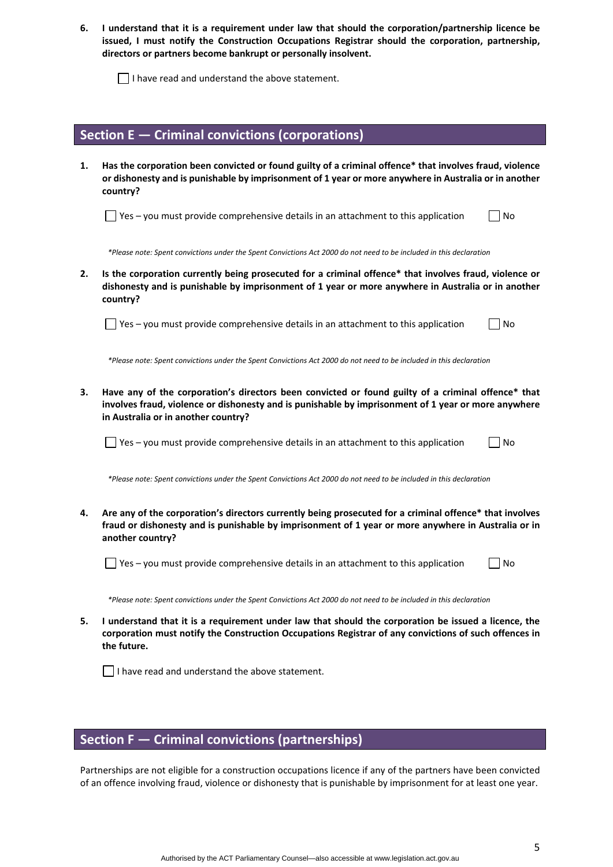**6. I understand that it is a requirement under law that should the corporation/partnership licence be issued, I must notify the Construction Occupations Registrar should the corporation, partnership, directors or partners become bankrupt or personally insolvent.** 

 $\Box$  I have read and understand the above statement.

#### **Section E — Criminal convictions (corporations)**

**1. Has the corporation been convicted or found guilty of a criminal offence\* that involves fraud, violence or dishonesty and is punishable by imprisonment of 1 year or more anywhere in Australia or in another country?** 

 $\Box$  Yes – you must provide comprehensive details in an attachment to this application  $\Box$  No

 *\*Please note: Spent convictions under the Spent Convictions Act 2000 do not need to be included in this declaration*

**2. Is the corporation currently being prosecuted for a criminal offence\* that involves fraud, violence or dishonesty and is punishable by imprisonment of 1 year or more anywhere in Australia or in another country?** 

 $\Box$  Yes – you must provide comprehensive details in an attachment to this application  $\Box$  No

 *\*Please note: Spent convictions under the Spent Convictions Act 2000 do not need to be included in this declaration*

**3. Have any of the corporation's directors been convicted or found guilty of a criminal offence\* that involves fraud, violence or dishonesty and is punishable by imprisonment of 1 year or more anywhere in Australia or in another country?** 

 $\Box$  Yes – you must provide comprehensive details in an attachment to this application  $\Box$  No

 *\*Please note: Spent convictions under the Spent Convictions Act 2000 do not need to be included in this declaration*

**4. Are any of the corporation's directors currently being prosecuted for a criminal offence\* that involves fraud or dishonesty and is punishable by imprisonment of 1 year or more anywhere in Australia or in another country?** 

 $\Box$  Yes – you must provide comprehensive details in an attachment to this application  $\Box$  No

 *\*Please note: Spent convictions under the Spent Convictions Act 2000 do not need to be included in this declaration*

**5. I understand that it is a requirement under law that should the corporation be issued a licence, the corporation must notify the Construction Occupations Registrar of any convictions of such offences in the future.** 

 $\Box$  I have read and understand the above statement.

#### **Section F — Criminal convictions (partnerships)**

Partnerships are not eligible for a construction occupations licence if any of the partners have been convicted of an offence involving fraud, violence or dishonesty that is punishable by imprisonment for at least one year.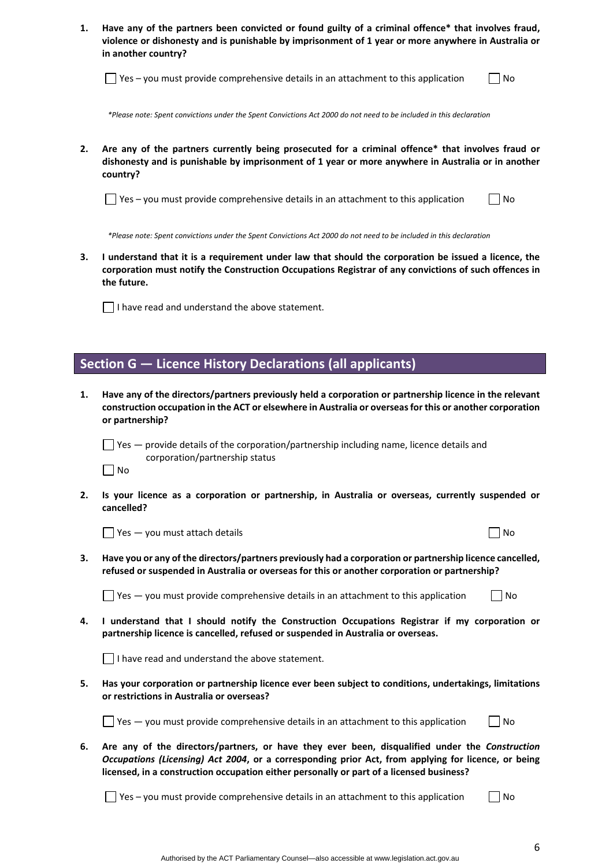| Have any of the partners been convicted or found guilty of a criminal offence* that involves fraud, |
|-----------------------------------------------------------------------------------------------------|
| violence or dishonesty and is punishable by imprisonment of 1 year or more anywhere in Australia or |
| in another country?                                                                                 |

 $\Box$  Yes – you must provide comprehensive details in an attachment to this application  $\Box$  No

 *\*Please note: Spent convictions under the Spent Convictions Act 2000 do not need to be included in this declaration*

**2. Are any of the partners currently being prosecuted for a criminal offence\* that involves fraud or dishonesty and is punishable by imprisonment of 1 year or more anywhere in Australia or in another country?** 

 $\Box$  Yes – you must provide comprehensive details in an attachment to this application  $\Box$  No

 *\*Please note: Spent convictions under the Spent Convictions Act 2000 do not need to be included in this declaration*

**3. I understand that it is a requirement under law that should the corporation be issued a licence, the corporation must notify the Construction Occupations Registrar of any convictions of such offences in the future.** 

 $\Box$  I have read and understand the above statement.

#### **Section G — Licence History Declarations (all applicants)**

**1. Have any of the directors/partners previously held a corporation or partnership licence in the relevant construction occupation in the ACT or elsewhere in Australia or overseas for this or another corporation or partnership?** 

 $\Box$  Yes  $-$  provide details of the corporation/partnership including name, licence details and corporation/partnership status

- $\Box$ No
- **2. Is your licence as a corporation or partnership, in Australia or overseas, currently suspended or cancelled?**

 $\Box$  Yes  $-$  you must attach details  $\Box$  No

**3. Have you or any of the directors/partners previously had a corporation or partnership licence cancelled, refused or suspended in Australia or overseas for this or another corporation or partnership?** 

 $\Box$  Yes — you must provide comprehensive details in an attachment to this application  $\Box$  No

**4. I understand that I should notify the Construction Occupations Registrar if my corporation or partnership licence is cancelled, refused or suspended in Australia or overseas.** 

 $\Box$  I have read and understand the above statement.

**5. Has your corporation or partnership licence ever been subject to conditions, undertakings, limitations or restrictions in Australia or overseas?** 

| $\Box$ Yes $-$ you must provide comprehensive details in an attachment to this application | $\Box$ No |
|--------------------------------------------------------------------------------------------|-----------|
|--------------------------------------------------------------------------------------------|-----------|

**6. Are any of the directors/partners, or have they ever been, disqualified under the** *Construction Occupations (Licensing) Act 2004***, or a corresponding prior Act, from applying for licence, or being licensed, in a construction occupation either personally or part of a licensed business?** 

 $\Box$  Yes – you must provide comprehensive details in an attachment to this application  $\Box$  No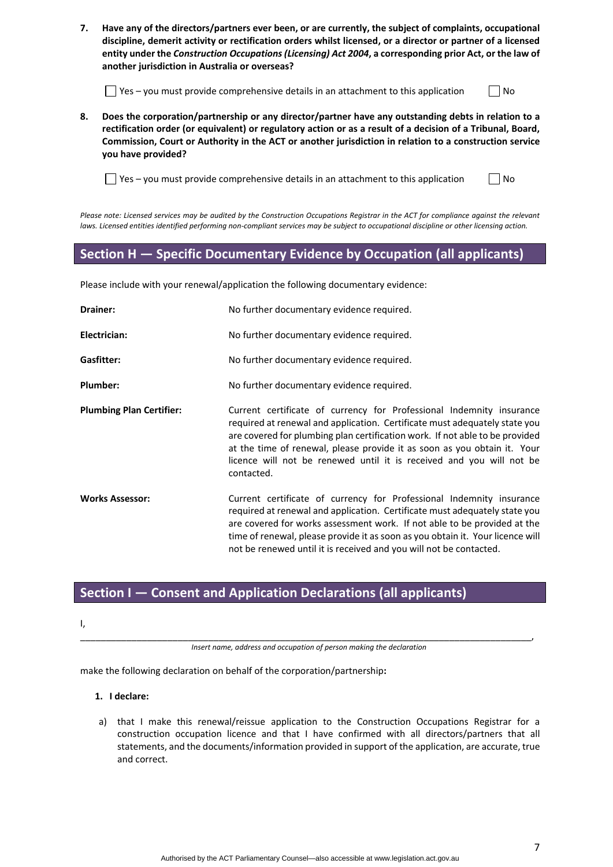**7. Have any of the directors/partners ever been, or are currently, the subject of complaints, occupational discipline, demerit activity or rectification orders whilst licensed, or a director or partner of a licensed entity under the** *Construction Occupations (Licensing) Act 2004***, a corresponding prior Act, or the law of another jurisdiction in Australia or overseas?** 

 $\Box$  Yes – you must provide comprehensive details in an attachment to this application  $\Box$  No

**8. Does the corporation/partnership or any director/partner have any outstanding debts in relation to a rectification order (or equivalent) or regulatory action or as a result of a decision of a Tribunal, Board, Commission, Court or Authority in the ACT or another jurisdiction in relation to a construction service you have provided?**

 $\Box$  Yes – you must provide comprehensive details in an attachment to this application  $\Box$  No

*Please note: Licensed services may be audited by the Construction Occupations Registrar in the ACT for compliance against the relevant laws. Licensed entities identified performing non-compliant services may be subject to occupational discipline or other licensing action.*

#### **Section H — Specific Documentary Evidence by Occupation (all applicants)**

Please include with your renewal/application the following documentary evidence:

| Drainer:                        | No further documentary evidence required.                                                                                                                                                                                                                                                                                                                                                            |
|---------------------------------|------------------------------------------------------------------------------------------------------------------------------------------------------------------------------------------------------------------------------------------------------------------------------------------------------------------------------------------------------------------------------------------------------|
| Electrician:                    | No further documentary evidence required.                                                                                                                                                                                                                                                                                                                                                            |
| <b>Gasfitter:</b>               | No further documentary evidence required.                                                                                                                                                                                                                                                                                                                                                            |
| Plumber:                        | No further documentary evidence required.                                                                                                                                                                                                                                                                                                                                                            |
| <b>Plumbing Plan Certifier:</b> | Current certificate of currency for Professional Indemnity insurance<br>required at renewal and application. Certificate must adequately state you<br>are covered for plumbing plan certification work. If not able to be provided<br>at the time of renewal, please provide it as soon as you obtain it. Your<br>licence will not be renewed until it is received and you will not be<br>contacted. |
| <b>Works Assessor:</b>          | Current certificate of currency for Professional Indemnity insurance<br>required at renewal and application. Certificate must adequately state you<br>are covered for works assessment work. If not able to be provided at the<br>time of renewal, please provide it as soon as you obtain it. Your licence will<br>not be renewed until it is received and you will not be contacted.               |

# **Section I — Consent and Application Declarations (all applicants)**

I,

\_\_\_\_\_\_\_\_\_\_\_\_\_\_\_\_\_\_\_\_\_\_\_\_\_\_\_\_\_\_\_\_\_\_\_\_\_\_\_\_\_\_\_\_\_\_\_\_\_\_\_\_\_\_\_\_\_\_\_\_\_\_\_\_\_\_\_\_\_\_\_\_\_\_\_\_\_\_\_\_\_\_\_\_\_\_\_\_, *Insert name, address and occupation of person making the declaration*

make the following declaration on behalf of the corporation/partnership**:**

- **1. I declare:**
- a) that I make this renewal/reissue application to the Construction Occupations Registrar for a construction occupation licence and that I have confirmed with all directors/partners that all statements, and the documents/information provided in support of the application, are accurate, true and correct.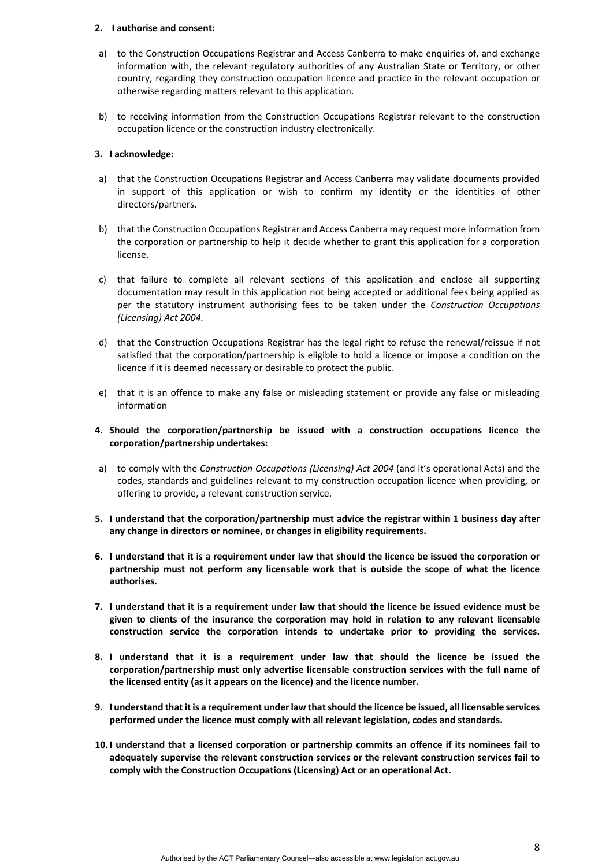#### **2. I authorise and consent:**

- a) to the Construction Occupations Registrar and Access Canberra to make enquiries of, and exchange information with, the relevant regulatory authorities of any Australian State or Territory, or other country, regarding they construction occupation licence and practice in the relevant occupation or otherwise regarding matters relevant to this application.
- b) to receiving information from the Construction Occupations Registrar relevant to the construction occupation licence or the construction industry electronically.

#### **3. I acknowledge:**

- a) that the Construction Occupations Registrar and Access Canberra may validate documents provided in support of this application or wish to confirm my identity or the identities of other directors/partners.
- b) that the Construction Occupations Registrar and Access Canberra may request more information from the corporation or partnership to help it decide whether to grant this application for a corporation license.
- c) that failure to complete all relevant sections of this application and enclose all supporting documentation may result in this application not being accepted or additional fees being applied as per the statutory instrument authorising fees to be taken under the *Construction Occupations (Licensing) Act 2004.*
- d) that the Construction Occupations Registrar has the legal right to refuse the renewal/reissue if not satisfied that the corporation/partnership is eligible to hold a licence or impose a condition on the licence if it is deemed necessary or desirable to protect the public.
- e) that it is an offence to make any false or misleading statement or provide any false or misleading information
- **4. Should the corporation/partnership be issued with a construction occupations licence the corporation/partnership undertakes:**
- a) to comply with the *Construction Occupations (Licensing) Act 2004* (and it's operational Acts) and the codes, standards and guidelines relevant to my construction occupation licence when providing, or offering to provide, a relevant construction service.
- **5. I understand that the corporation/partnership must advice the registrar within 1 business day after any change in directors or nominee, or changes in eligibility requirements.**
- **6. I understand that it is a requirement under law that should the licence be issued the corporation or partnership must not perform any licensable work that is outside the scope of what the licence authorises.**
- **7. I understand that it is a requirement under law that should the licence be issued evidence must be given to clients of the insurance the corporation may hold in relation to any relevant licensable construction service the corporation intends to undertake prior to providing the services.**
- **8. I understand that it is a requirement under law that should the licence be issued the corporation/partnership must only advertise licensable construction services with the full name of the licensed entity (as it appears on the licence) and the licence number.**
- **9. I understand that it is a requirement under law that should the licence be issued, all licensable services performed under the licence must comply with all relevant legislation, codes and standards.**
- **10.I understand that a licensed corporation or partnership commits an offence if its nominees fail to adequately supervise the relevant construction services or the relevant construction services fail to comply with the Construction Occupations (Licensing) Act or an operational Act.**